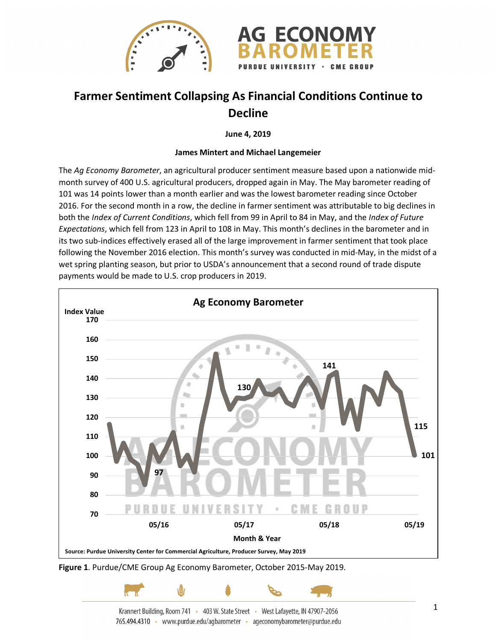

## **Farmer Sentiment Collapsing As Financial Conditions Continue to Decline**

**June 4, 2019**

## **James Mintert and Michael Langemeier**

The *Ag Economy Barometer*, an agricultural producer sentiment measure based upon a nationwide midmonth survey of 400 U.S. agricultural producers, dropped again in May. The May barometer reading of 101 was 14 points lower than a month earlier and was the lowest barometer reading since October 2016. For the second month in a row, the decline in farmer sentiment was attributable to big declines in both the *Index of Current Conditions*, which fell from 99 in April to 84 in May, and the *Index of Future Expectations*, which fell from 123 in April to 108 in May. This month's declines in the barometer and in its two sub-indices effectively erased all of the large improvement in farmer sentiment that took place following the November 2016 election. This month's survey was conducted in mid-May, in the midst of a wet spring planting season, but prior to USDA's announcement that a second round of trade dispute payments would be made to U.S. crop producers in 2019.



**Figure 1**. Purdue/CME Group Ag Economy Barometer, October 2015-May 2019.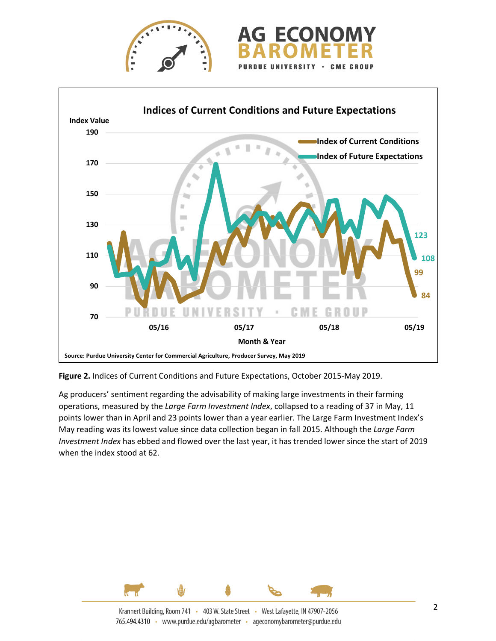





**Figure 2.** Indices of Current Conditions and Future Expectations, October 2015-May 2019.

Ag producers' sentiment regarding the advisability of making large investments in their farming operations, measured by the *Large Farm Investment Index*, collapsed to a reading of 37 in May, 11 points lower than in April and 23 points lower than a year earlier. The Large Farm Investment Index's May reading was its lowest value since data collection began in fall 2015. Although the *Large Farm Investment Index* has ebbed and flowed over the last year, it has trended lower since the start of 2019 when the index stood at 62.

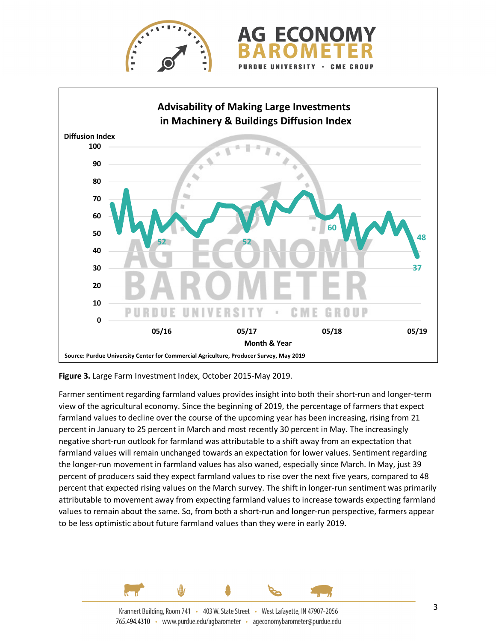



**Figure 3.** Large Farm Investment Index, October 2015-May 2019.

Farmer sentiment regarding farmland values provides insight into both their short-run and longer-term view of the agricultural economy. Since the beginning of 2019, the percentage of farmers that expect farmland values to decline over the course of the upcoming year has been increasing, rising from 21 percent in January to 25 percent in March and most recently 30 percent in May. The increasingly negative short-run outlook for farmland was attributable to a shift away from an expectation that farmland values will remain unchanged towards an expectation for lower values. Sentiment regarding the longer-run movement in farmland values has also waned, especially since March. In May, just 39 percent of producers said they expect farmland values to rise over the next five years, compared to 48 percent that expected rising values on the March survey. The shift in longer-run sentiment was primarily attributable to movement away from expecting farmland values to increase towards expecting farmland values to remain about the same. So, from both a short-run and longer-run perspective, farmers appear to be less optimistic about future farmland values than they were in early 2019.

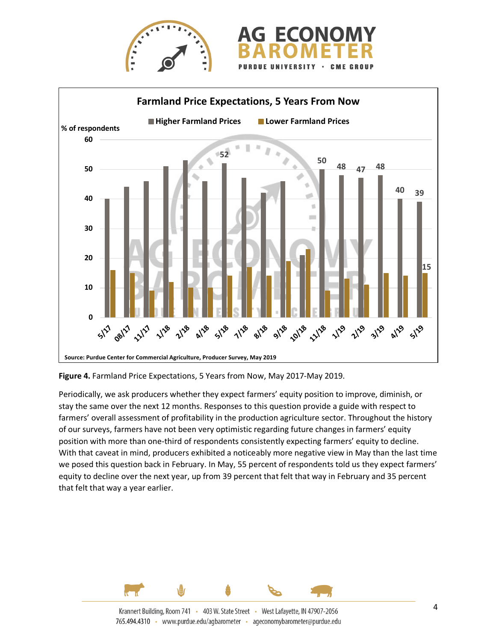



**Figure 4.** Farmland Price Expectations, 5 Years from Now, May 2017-May 2019.

Periodically, we ask producers whether they expect farmers' equity position to improve, diminish, or stay the same over the next 12 months. Responses to this question provide a guide with respect to farmers' overall assessment of profitability in the production agriculture sector. Throughout the history of our surveys, farmers have not been very optimistic regarding future changes in farmers' equity position with more than one-third of respondents consistently expecting farmers' equity to decline. With that caveat in mind, producers exhibited a noticeably more negative view in May than the last time we posed this question back in February. In May, 55 percent of respondents told us they expect farmers' equity to decline over the next year, up from 39 percent that felt that way in February and 35 percent that felt that way a year earlier.

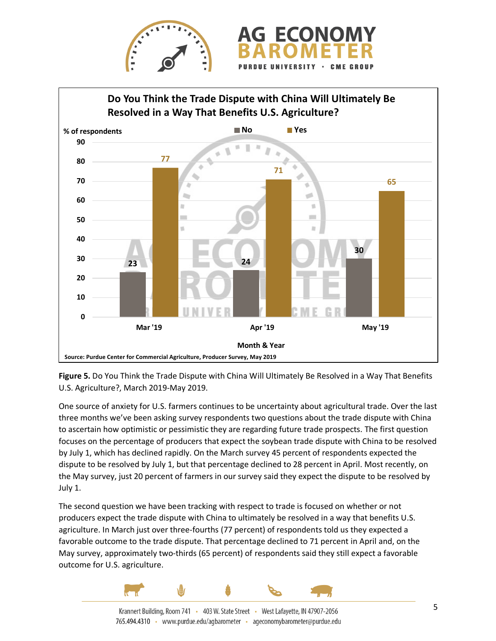



**Figure 5.** Do You Think the Trade Dispute with China Will Ultimately Be Resolved in a Way That Benefits U.S. Agriculture?, March 2019-May 2019.

One source of anxiety for U.S. farmers continues to be uncertainty about agricultural trade. Over the last three months we've been asking survey respondents two questions about the trade dispute with China to ascertain how optimistic or pessimistic they are regarding future trade prospects. The first question focuses on the percentage of producers that expect the soybean trade dispute with China to be resolved by July 1, which has declined rapidly. On the March survey 45 percent of respondents expected the dispute to be resolved by July 1, but that percentage declined to 28 percent in April. Most recently, on the May survey, just 20 percent of farmers in our survey said they expect the dispute to be resolved by July 1.

The second question we have been tracking with respect to trade is focused on whether or not producers expect the trade dispute with China to ultimately be resolved in a way that benefits U.S. agriculture. In March just over three-fourths (77 percent) of respondents told us they expected a favorable outcome to the trade dispute. That percentage declined to 71 percent in April and, on the May survey, approximately two-thirds (65 percent) of respondents said they still expect a favorable outcome for U.S. agriculture.



Krannert Building, Room 741 · 403 W. State Street · West Lafayette, IN 47907-2056 765.494.4310 · www.purdue.edu/agbarometer · ageconomybarometer@purdue.edu